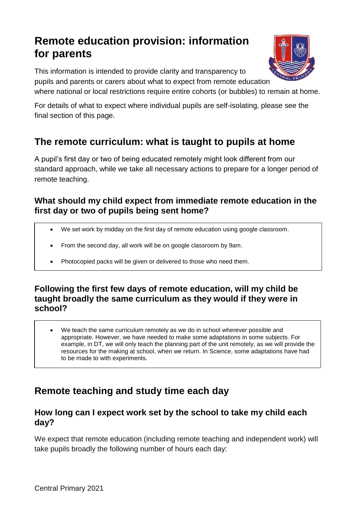# **Remote education provision: information for parents**

This information is intended to provide clarity and transparency to pupils and parents or carers about what to expect from remote education

where national or local restrictions require entire cohorts (or bubbles) to remain at home.

For details of what to expect where individual pupils are self-isolating, please see the final section of this page.

## **The remote curriculum: what is taught to pupils at home**

A pupil's first day or two of being educated remotely might look different from our standard approach, while we take all necessary actions to prepare for a longer period of remote teaching.

#### **What should my child expect from immediate remote education in the first day or two of pupils being sent home?**

- We set work by midday on the first day of remote education using google classroom.
- From the second day, all work will be on google classroom by 9am.
- Photocopied packs will be given or delivered to those who need them.

#### **Following the first few days of remote education, will my child be taught broadly the same curriculum as they would if they were in school?**

 We teach the same curriculum remotely as we do in school wherever possible and appropriate. However, we have needed to make some adaptations in some subjects. For example, in DT, we will only teach the planning part of the unit remotely, as we will provide the resources for the making at school, when we return. In Science, some adaptations have had to be made to with experiments.

### **Remote teaching and study time each day**

#### **How long can I expect work set by the school to take my child each day?**

We expect that remote education (including remote teaching and independent work) will take pupils broadly the following number of hours each day:

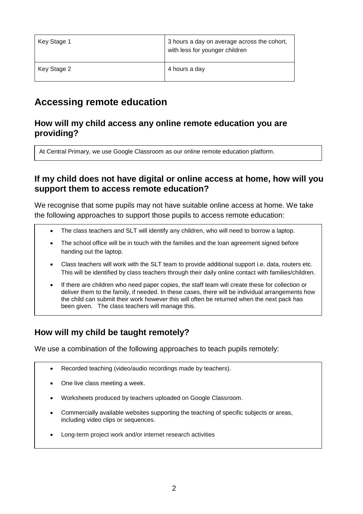| Key Stage 1 | 3 hours a day on average across the cohort,<br>with less for younger children |
|-------------|-------------------------------------------------------------------------------|
| Key Stage 2 | 4 hours a day                                                                 |

### **Accessing remote education**

#### **How will my child access any online remote education you are providing?**

At Central Primary, we use Google Classroom as our online remote education platform.

#### **If my child does not have digital or online access at home, how will you support them to access remote education?**

We recognise that some pupils may not have suitable online access at home. We take the following approaches to support those pupils to access remote education:

- The class teachers and SLT will identify any children, who will need to borrow a laptop.
- The school office will be in touch with the families and the loan agreement signed before handing out the laptop.
- Class teachers will work with the SLT team to provide additional support i.e. data, routers etc. This will be identified by class teachers through their daily online contact with families/children.
- If there are children who need paper copies, the staff team will create these for collection or deliver them to the family, if needed. In these cases, there will be individual arrangements how the child can submit their work however this will often be returned when the next pack has been given. The class teachers will manage this.

#### **How will my child be taught remotely?**

We use a combination of the following approaches to teach pupils remotely:

- Recorded teaching (video/audio recordings made by teachers).
- One live class meeting a week.
- Worksheets produced by teachers uploaded on Google Classroom.
- Commercially available websites supporting the teaching of specific subjects or areas, including video clips or sequences.
- Long-term project work and/or internet research activities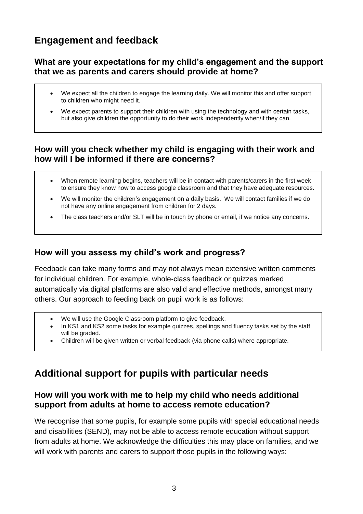### **Engagement and feedback**

#### **What are your expectations for my child's engagement and the support that we as parents and carers should provide at home?**

- We expect all the children to engage the learning daily. We will monitor this and offer support to children who might need it.
- We expect parents to support their children with using the technology and with certain tasks, but also give children the opportunity to do their work independently when/if they can.

#### **How will you check whether my child is engaging with their work and how will I be informed if there are concerns?**

- When remote learning begins, teachers will be in contact with parents/carers in the first week to ensure they know how to access google classroom and that they have adequate resources.
- We will monitor the children's engagement on a daily basis. We will contact families if we do not have any online engagement from children for 2 days.
- The class teachers and/or SLT will be in touch by phone or email, if we notice any concerns.

#### **How will you assess my child's work and progress?**

Feedback can take many forms and may not always mean extensive written comments for individual children. For example, whole-class feedback or quizzes marked automatically via digital platforms are also valid and effective methods, amongst many others. Our approach to feeding back on pupil work is as follows:

- We will use the Google Classroom platform to give feedback.
- In KS1 and KS2 some tasks for example quizzes, spellings and fluency tasks set by the staff will be graded.
- Children will be given written or verbal feedback (via phone calls) where appropriate.

### **Additional support for pupils with particular needs**

#### **How will you work with me to help my child who needs additional support from adults at home to access remote education?**

We recognise that some pupils, for example some pupils with special educational needs and disabilities (SEND), may not be able to access remote education without support from adults at home. We acknowledge the difficulties this may place on families, and we will work with parents and carers to support those pupils in the following ways: